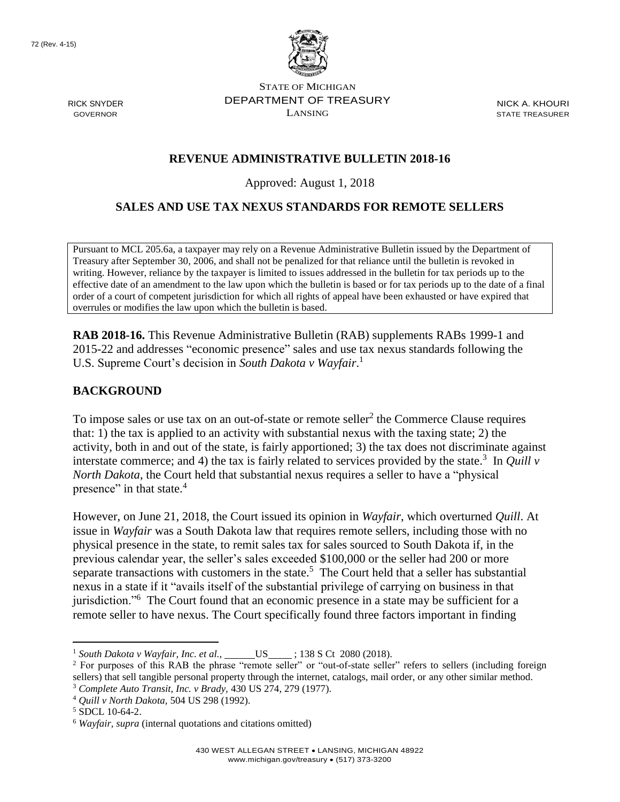RICK SNYDER GOVERNOR



STATE OF MICHIGAN DEPARTMENT OF TREASURY LANSING

NICK A. KHOURI STATE TREASURER

## **REVENUE ADMINISTRATIVE BULLETIN 2018-16**

Approved: August 1, 2018

#### **SALES AND USE TAX NEXUS STANDARDS FOR REMOTE SELLERS**

Pursuant to MCL 205.6a, a taxpayer may rely on a Revenue Administrative Bulletin issued by the Department of Treasury after September 30, 2006, and shall not be penalized for that reliance until the bulletin is revoked in writing. However, reliance by the taxpayer is limited to issues addressed in the bulletin for tax periods up to the effective date of an amendment to the law upon which the bulletin is based or for tax periods up to the date of a final order of a court of competent jurisdiction for which all rights of appeal have been exhausted or have expired that overrules or modifies the law upon which the bulletin is based.

**RAB 2018-16.** This Revenue Administrative Bulletin (RAB) supplements RABs 1999-1 and 2015-22 and addresses "economic presence" sales and use tax nexus standards following the U.S. Supreme Court's decision in *South Dakota v Wayfair*. 1

#### **BACKGROUND**

To impose sales or use tax on an out-of-state or remote seller<sup>2</sup> the Commerce Clause requires that: 1) the tax is applied to an activity with substantial nexus with the taxing state; 2) the activity, both in and out of the state, is fairly apportioned; 3) the tax does not discriminate against interstate commerce; and 4) the tax is fairly related to services provided by the state.<sup>3</sup> In *Quill v North Dakota*, the Court held that substantial nexus requires a seller to have a "physical presence" in that state.<sup>4</sup>

However, on June 21, 2018, the Court issued its opinion in *Wayfair*, which overturned *Quill*. At issue in *Wayfair* was a South Dakota law that requires remote sellers, including those with no physical presence in the state, to remit sales tax for sales sourced to South Dakota if, in the previous calendar year, the seller's sales exceeded \$100,000 or the seller had 200 or more separate transactions with customers in the state.<sup>5</sup> The Court held that a seller has substantial nexus in a state if it "avails itself of the substantial privilege of carrying on business in that jurisdiction."<sup>6</sup> The Court found that an economic presence in a state may be sufficient for a remote seller to have nexus. The Court specifically found three factors important in finding

 $\overline{a}$ 

<sup>&</sup>lt;sup>1</sup> *South Dakota v Wayfair, Inc. et al.,* \_\_\_\_\_\_\_US\_\_\_\_\_; 138 S Ct 2080 (2018).

<sup>2</sup> For purposes of this RAB the phrase "remote seller" or "out-of-state seller" refers to sellers (including foreign sellers) that sell tangible personal property through the internet, catalogs, mail order, or any other similar method. <sup>3</sup> *Complete Auto Transit, Inc. v Brady,* 430 US 274, 279 (1977).

<sup>4</sup> *Quill v North Dakota,* 504 US 298 (1992).

 $5$  SDCL 10-64-2.

<sup>6</sup> *Wayfair, supra* (internal quotations and citations omitted)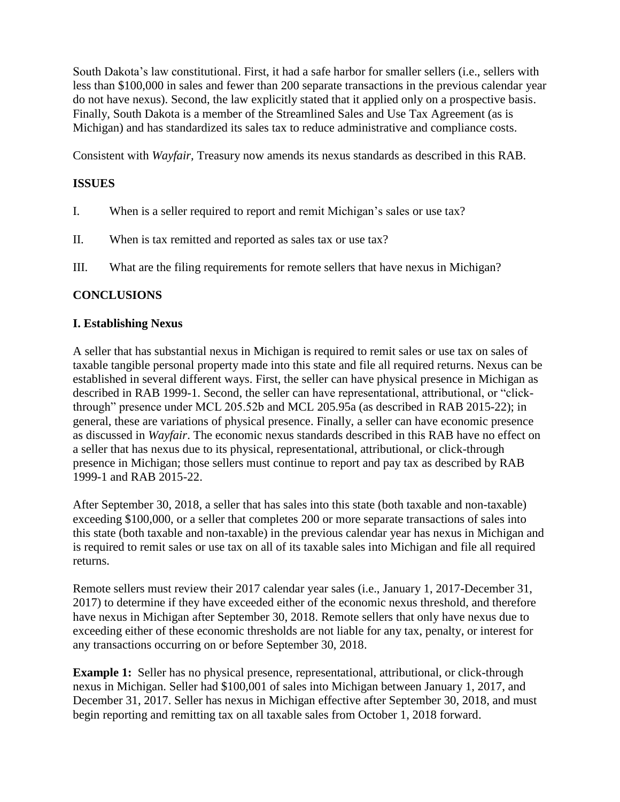South Dakota's law constitutional. First, it had a safe harbor for smaller sellers (i.e., sellers with less than \$100,000 in sales and fewer than 200 separate transactions in the previous calendar year do not have nexus). Second, the law explicitly stated that it applied only on a prospective basis. Finally, South Dakota is a member of the Streamlined Sales and Use Tax Agreement (as is Michigan) and has standardized its sales tax to reduce administrative and compliance costs.

Consistent with *Wayfair,* Treasury now amends its nexus standards as described in this RAB.

# **ISSUES**

- I. When is a seller required to report and remit Michigan's sales or use tax?
- II. When is tax remitted and reported as sales tax or use tax?
- III. What are the filing requirements for remote sellers that have nexus in Michigan?

## **CONCLUSIONS**

## **I. Establishing Nexus**

A seller that has substantial nexus in Michigan is required to remit sales or use tax on sales of taxable tangible personal property made into this state and file all required returns. Nexus can be established in several different ways. First, the seller can have physical presence in Michigan as described in RAB 1999-1. Second, the seller can have representational, attributional, or "clickthrough" presence under MCL 205.52b and MCL 205.95a (as described in RAB 2015-22); in general, these are variations of physical presence. Finally, a seller can have economic presence as discussed in *Wayfair*. The economic nexus standards described in this RAB have no effect on a seller that has nexus due to its physical, representational, attributional, or click-through presence in Michigan; those sellers must continue to report and pay tax as described by RAB 1999-1 and RAB 2015-22.

After September 30, 2018, a seller that has sales into this state (both taxable and non-taxable) exceeding \$100,000, or a seller that completes 200 or more separate transactions of sales into this state (both taxable and non-taxable) in the previous calendar year has nexus in Michigan and is required to remit sales or use tax on all of its taxable sales into Michigan and file all required returns.

Remote sellers must review their 2017 calendar year sales (i.e., January 1, 2017-December 31, 2017) to determine if they have exceeded either of the economic nexus threshold, and therefore have nexus in Michigan after September 30, 2018. Remote sellers that only have nexus due to exceeding either of these economic thresholds are not liable for any tax, penalty, or interest for any transactions occurring on or before September 30, 2018.

**Example 1:** Seller has no physical presence, representational, attributional, or click-through nexus in Michigan. Seller had \$100,001 of sales into Michigan between January 1, 2017, and December 31, 2017. Seller has nexus in Michigan effective after September 30, 2018, and must begin reporting and remitting tax on all taxable sales from October 1, 2018 forward.